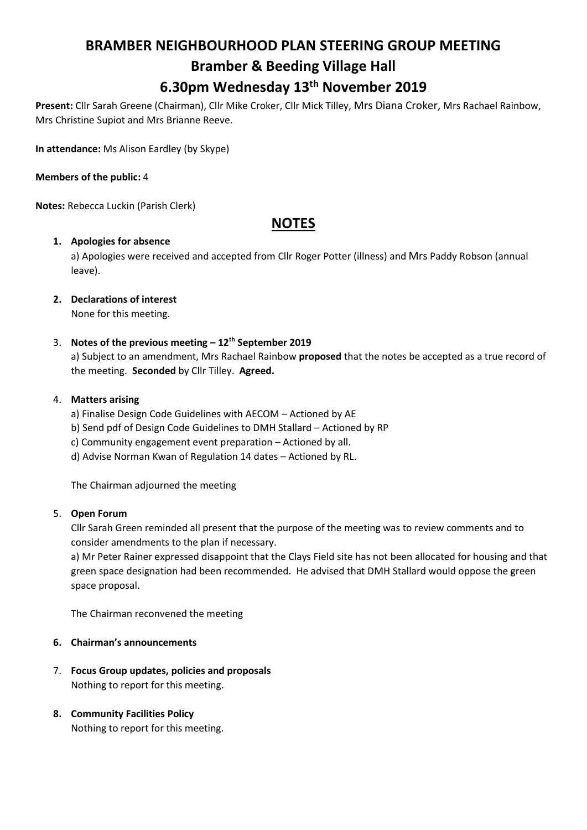# **BRAMBER NEIGHBOURHOOD PLAN STEERING GROUP MEETING**

# **Bramber & Beeding Village Hall 6.30pm Wednesday 13th November 2019**

**Present:** Cllr Sarah Greene (Chairman), Cllr Mike Croker, Cllr Mick Tilley, Mrs Diana Croker, Mrs Rachael Rainbow, Mrs Christine Supiot and Mrs Brianne Reeve.

**In attendance:** Ms Alison Eardley (by Skype)

#### **Members of the public:** 4

**Notes:** Rebecca Luckin (Parish Clerk)

## **NOTES**

### **1. Apologies for absence**

a) Apologies were received and accepted from Cllr Roger Potter (illness) and Mrs Paddy Robson (annual leave).

# **2. Declarations of interest**

None for this meeting.

### 3. **Notes of the previous meeting – 12th September 2019**

a) Subject to an amendment, Mrs Rachael Rainbow **proposed** that the notes be accepted as a true record of the meeting. **Seconded** by Cllr Tilley. **Agreed.**

### 4. **Matters arising**

- a) Finalise Design Code Guidelines with AECOM Actioned by AE
- b) Send pdf of Design Code Guidelines to DMH Stallard Actioned by RP
- c) Community engagement event preparation Actioned by all.
- d) Advise Norman Kwan of Regulation 14 dates Actioned by RL.

The Chairman adjourned the meeting

#### 5. **Open Forum**

Cllr Sarah Green reminded all present that the purpose of the meeting was to review comments and to consider amendments to the plan if necessary.

a) Mr Peter Rainer expressed disappoint that the Clays Field site has not been allocated for housing and that green space designation had been recommended. He advised that DMH Stallard would oppose the green space proposal.

The Chairman reconvened the meeting

### **6. Chairman's announcements**

7. **Focus Group updates, policies and proposals** Nothing to report for this meeting.

### **8. Community Facilities Policy**

Nothing to report for this meeting.